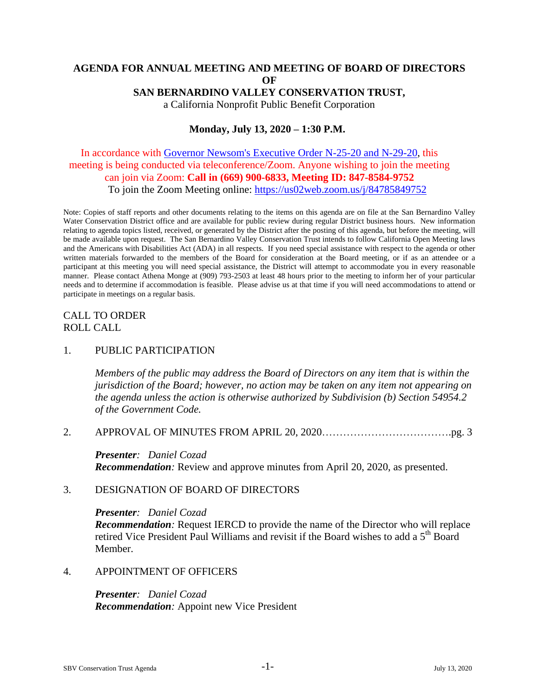### **AGENDA FOR ANNUAL MEETING AND MEETING OF BOARD OF DIRECTORS OF SAN BERNARDINO VALLEY CONSERVATION TRUST,** a California Nonprofit Public Benefit Corporation

**Monday, July 13, 2020 – 1:30 P.M.**

## In accordance with [Governor Newsom's Executive Order N-25-20 and N-29-20,](https://www.gov.ca.gov/wp-content/uploads/2020/03/3.12.20-EO-N-25-20-COVID-19.pdf) this meeting is being conducted via teleconference/Zoom. Anyone wishing to join the meeting can join via Zoom: **Call in (669) 900-6833, Meeting ID: 847-8584-9752** To join the Zoom Meeting online:<https://us02web.zoom.us/j/84785849752>

Note: Copies of staff reports and other documents relating to the items on this agenda are on file at the San Bernardino Valley Water Conservation District office and are available for public review during regular District business hours. New information relating to agenda topics listed, received, or generated by the District after the posting of this agenda, but before the meeting, will be made available upon request. The San Bernardino Valley Conservation Trust intends to follow California Open Meeting laws and the Americans with Disabilities Act (ADA) in all respects. If you need special assistance with respect to the agenda or other written materials forwarded to the members of the Board for consideration at the Board meeting, or if as an attendee or a participant at this meeting you will need special assistance, the District will attempt to accommodate you in every reasonable manner. Please contact Athena Monge at (909) 793-2503 at least 48 hours prior to the meeting to inform her of your particular needs and to determine if accommodation is feasible. Please advise us at that time if you will need accommodations to attend or participate in meetings on a regular basis.

# CALL TO ORDER ROLL CALL

### 1. PUBLIC PARTICIPATION

*Members of the public may address the Board of Directors on any item that is within the jurisdiction of the Board; however, no action may be taken on any item not appearing on the agenda unless the action is otherwise authorized by Subdivision (b) Section 54954.2 of the Government Code.*

#### 2. APPROVAL OF MINUTES FROM APRIL 20, 2020……………………………….pg. 3

*Presenter: Daniel Cozad Recommendation:* Review and approve minutes from April 20, 2020, as presented.

#### 3. DESIGNATION OF BOARD OF DIRECTORS

*Presenter: Daniel Cozad*

*Recommendation:* Request IERCD to provide the name of the Director who will replace retired Vice President Paul Williams and revisit if the Board wishes to add a  $5<sup>th</sup>$  Board Member.

### 4. APPOINTMENT OF OFFICERS

*Presenter: Daniel Cozad Recommendation:* Appoint new Vice President